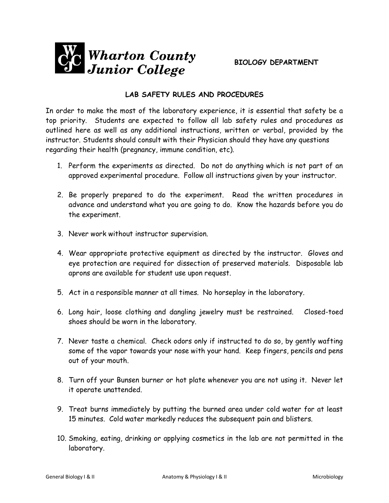

## **LAB SAFETY RULES AND PROCEDURES**

In order to make the most of the laboratory experience, it is essential that safety be a top priority. Students are expected to follow all lab safety rules and procedures as outlined here as well as any additional instructions, written or verbal, provided by the instructor. Students should consult with their Physician should they have any questions regarding their health (pregnancy, immune condition, etc).

- 1. Perform the experiments as directed. Do not do anything which is not part of an approved experimental procedure. Follow all instructions given by your instructor.
- 2. Be properly prepared to do the experiment. Read the written procedures in advance and understand what you are going to do. Know the hazards before you do the experiment.
- 3. Never work without instructor supervision.
- 4. Wear appropriate protective equipment as directed by the instructor. Gloves and eye protection are required for dissection of preserved materials. Disposable lab aprons are available for student use upon request.
- 5. Act in a responsible manner at all times. No horseplay in the laboratory.
- 6. Long hair, loose clothing and dangling jewelry must be restrained. Closed-toed shoes should be worn in the laboratory.
- 7. Never taste a chemical. Check odors only if instructed to do so, by gently wafting some of the vapor towards your nose with your hand. Keep fingers, pencils and pens out of your mouth.
- 8. Turn off your Bunsen burner or hot plate whenever you are not using it. Never let it operate unattended.
- 9. Treat burns immediately by putting the burned area under cold water for at least 15 minutes. Cold water markedly reduces the subsequent pain and blisters.
- 10. Smoking, eating, drinking or applying cosmetics in the lab are not permitted in the laboratory.